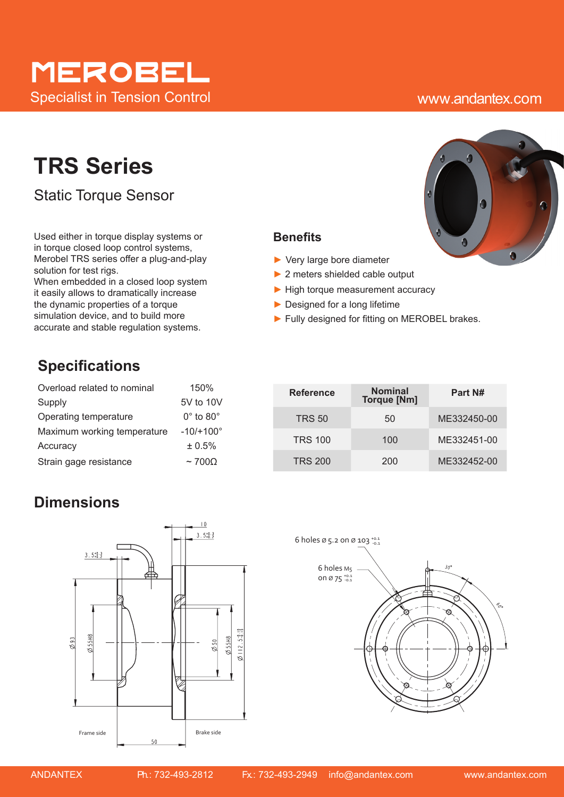# merobel Specialist in Tension Control www.andantex.com

# **TRS Series**

Static Torque Sensor

Used either in torque display systems or in torque closed loop control systems, Merobel TRS series offer a plug-and-play solution for test rigs.

When embedded in a closed loop system it easily allows to dramatically increase the dynamic properties of a torque simulation device, and to build more accurate and stable regulation systems.

## **Specifications**

| Overload related to nominal | 150%                        |
|-----------------------------|-----------------------------|
| Supply                      | 5V to 10V                   |
| Operating temperature       | $0^{\circ}$ to $80^{\circ}$ |
| Maximum working temperature | $-10/+100^{\circ}$          |
| Accuracy                    | ± 0.5%                      |
| Strain gage resistance      | $\sim$ 700 $\Omega$         |

## **Reference Nominal The Torque [Nm] Part N#** TRS 50 50 ME332450-00 TRS 100 100 ME332451-00 TRS 200 200 ME332452-00

## **Dimensions**







► Fully designed for fitting on MEROBEL brakes.

**Benefits**